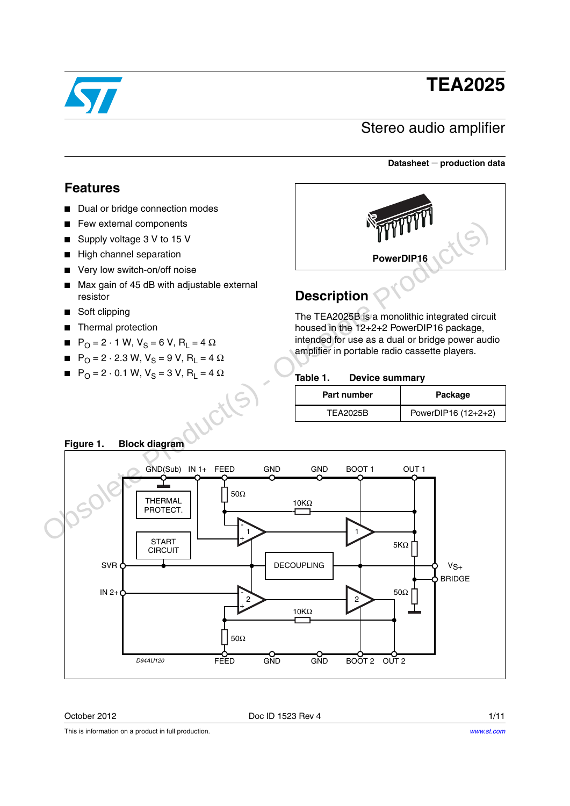# **TEA2025**

## Stereo audio amplifier

#### **Datasheet** − **production data**

### **Features**

- Dual or bridge connection modes
- Few external components
- Supply voltage 3 V to 15 V
- High channel separation
- Very low switch-on/off noise
- Max gain of 45 dB with adjustable external resistor
- Soft clipping
- Thermal protection
- $P_{\text{O}} = 2 \cdot 1 \text{ W}, V_{\text{S}} = 6 \text{ V}, R_{\text{I}} = 4 \Omega$
- $P_{\text{O}} = 2 \cdot 2.3 \text{ W}, V_{\text{S}} = 9 \text{ V}, R_{\text{L}} = 4 \Omega$
- $P_{\text{O}} = 2 \cdot 0.1 \text{ W}, V_{\text{S}} = 3 \text{ V}, R_{\text{L}} = 4 \Omega$



## **Description**

The TEA2025B is a monolithic integrated circuit housed in the 12+2+2 PowerDIP16 package, intended for use as a dual or bridge power audio amplifier in portable radio cassette players.

#### **Table 1. Device summary**

| Part number     | Package             |
|-----------------|---------------------|
| <b>TEA2025B</b> | PowerDIP16 (12+2+2) |



### **Figure 1. Block diagram**

October 2012 **Doc ID 1523 Rev 4** 1/11

This is information on a product in full production.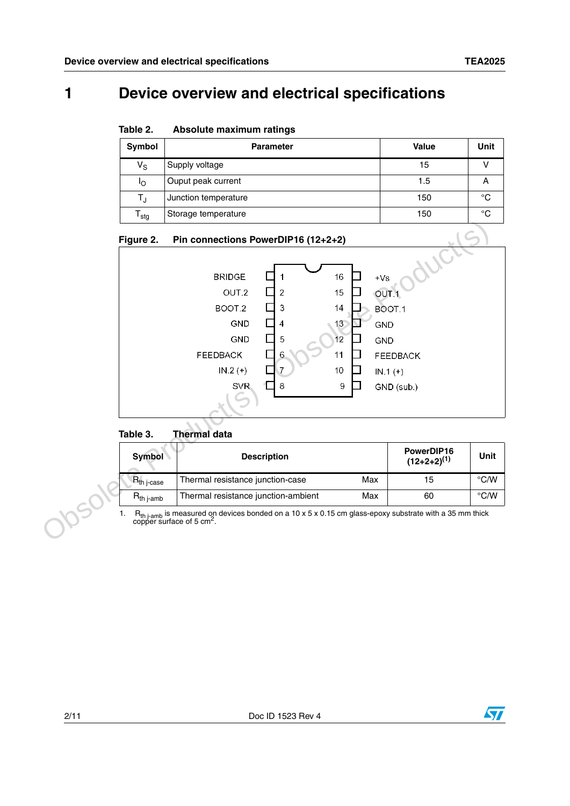## **1 Device overview and electrical specifications**

**Table 2. Absolute maximum ratings**

| Symbol                    | <b>Parameter</b>     | Value | Unit |
|---------------------------|----------------------|-------|------|
| $V_{\rm S}$               | Supply voltage       | 15    |      |
| ΙO                        | Ouput peak current   | 1.5   |      |
| T,                        | Junction temperature | 150   | °C   |
| $\mathsf{T}_{\text{stg}}$ | Storage temperature  | 150   | °C   |



#### **Table 3. Thermal data**

| Symbol          | <b>Description</b>                         | PowerDIP16<br>$(12+2+2)^{(1)}$ | Unit               |
|-----------------|--------------------------------------------|--------------------------------|--------------------|
| $R_{th}$ j-case | Thermal resistance junction-case<br>Max    | 15                             | $\rm ^{\circ}$ C/W |
| $R_{th\,$ i-amb | Thermal resistance junction-ambient<br>Max | 60                             | $\rm ^{\circ}$ C/W |

1.  $R_{th\ j-amb}$  is measured on devices bonded on a 10 x 5 x 0.15 cm glass-epoxy substrate with a 35 mm thick copper surface of 5 cm<sup>2</sup>.

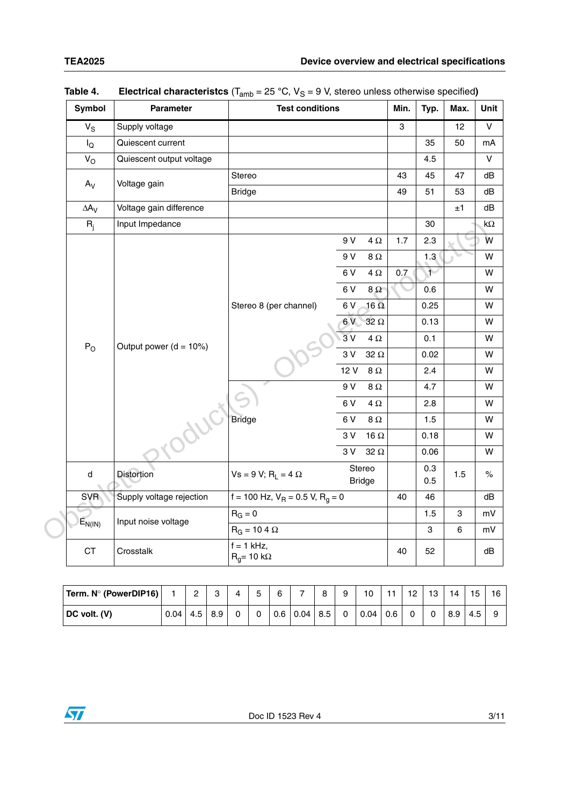|  | Symbol           | Parameter                          | <b>Test conditions</b>                | Min.                    | Typ.         | Max. | Unit         |         |                |
|--|------------------|------------------------------------|---------------------------------------|-------------------------|--------------|------|--------------|---------|----------------|
|  | $V_S$            | Supply voltage                     |                                       |                         |              | 3    |              | 12      | $\overline{V}$ |
|  | $I_{\mathsf{Q}}$ | Quiescent current                  |                                       |                         |              |      | 35           | 50      | mA             |
|  | $V_{O}$          | Quiescent output voltage           |                                       |                         |              |      | 4.5          |         | $\mathsf{V}$   |
|  | $A_V$            | Voltage gain                       | Stereo                                |                         |              | 43   | 45           | 47      | dB             |
|  |                  |                                    | <b>Bridge</b>                         |                         |              | 49   | 51           | 53      | dB             |
|  | $\Delta A_V$     | Voltage gain difference            |                                       |                         |              |      |              | $\pm 1$ | dB             |
|  | $R_{j}$          | Input Impedance                    |                                       |                         |              |      | 30           |         | k $\Omega$     |
|  |                  |                                    |                                       | 9 V                     | 4 $\Omega$   | 1.7  | 2.3          |         | W              |
|  |                  |                                    |                                       | 9 V                     | 8 $\Omega$   |      | 1.3          |         | W              |
|  |                  | Output power $(d = 10%)$<br>roduci |                                       | 6V                      | 4 $\Omega$   | 0.7  | $\mathbf{1}$ |         | W              |
|  | $P_{O}$          |                                    | Stereo 8 (per channel)                | 6V                      | $8\,\Omega$  |      | 0.6          |         | W              |
|  |                  |                                    |                                       | 6V                      | $16\ \Omega$ |      | 0.25         |         | W              |
|  |                  |                                    |                                       | 6V                      | 32 $\Omega$  |      | 0.13         |         | W              |
|  |                  |                                    |                                       | 3V                      | 4 $\Omega$   |      | 0.1          |         | W              |
|  |                  |                                    |                                       | 3V                      | 32 $\Omega$  |      | 0.02         |         | W              |
|  |                  |                                    |                                       | 12 V                    | 8 $\Omega$   |      | 2.4          |         | w              |
|  |                  |                                    |                                       | 9 V                     | 8 $\Omega$   |      | 4.7          |         | W              |
|  |                  |                                    |                                       | 6V                      | 4 $\Omega$   |      | 2.8          |         | W              |
|  |                  |                                    | <b>Bridge</b>                         | 6V                      | 8 $\Omega$   |      | 1.5          |         | W              |
|  |                  |                                    |                                       | 3 V                     | 16 $\Omega$  |      | 0.18         |         | W              |
|  |                  |                                    |                                       | 3V                      | 32 $\Omega$  |      | 0.06         |         | W              |
|  | d                | <b>Distortion</b>                  | $Vs = 9 V; RL = 4 \Omega$             | Stereo<br><b>Bridge</b> |              |      | 0.3<br>0.5   | 1.5     | $\%$           |
|  | <b>SVR</b>       | Supply voltage rejection           | f = 100 Hz, $V_R$ = 0.5 V, $R_g$ = 0  |                         |              | 40   | 46           |         | dB             |
|  |                  | Input noise voltage                | $R_G = 0$                             |                         |              |      | 1.5          | 3       | $mV$           |
|  | $E_{N(IN)}$      |                                    | $R_G = 10 4 \Omega$                   |                         |              |      | 3            | 6       | mV             |
|  | <b>CT</b>        | Crosstalk                          | $f = 1$ kHz,<br>$R_q$ = 10 k $\Omega$ |                         | 40           | 52   |              | dB      |                |

| Table 4. | <b>Electrical characteristcs</b> ( $T_{amb}$ = 25 °C, $V_S$ = 9 V, stereo unless otherwise specified) |  |  |  |  |  |  |
|----------|-------------------------------------------------------------------------------------------------------|--|--|--|--|--|--|
|----------|-------------------------------------------------------------------------------------------------------|--|--|--|--|--|--|

| Term. N° (PowerDIP16) |      | $\sim$<br>ے | ົ   |  | 6   | $\rightarrow$ | 8   | 9 | 10   | $-1$ | 12 | 13 | $\overline{A}$ | 15  | 16 |
|-----------------------|------|-------------|-----|--|-----|---------------|-----|---|------|------|----|----|----------------|-----|----|
| DC volt. (V)          | 0.04 | 4.5         | 8.9 |  | 0.6 | 0.04          | 8.5 | 0 | 0.04 | 0.6  |    | 0  | 8.9            | 4.5 |    |

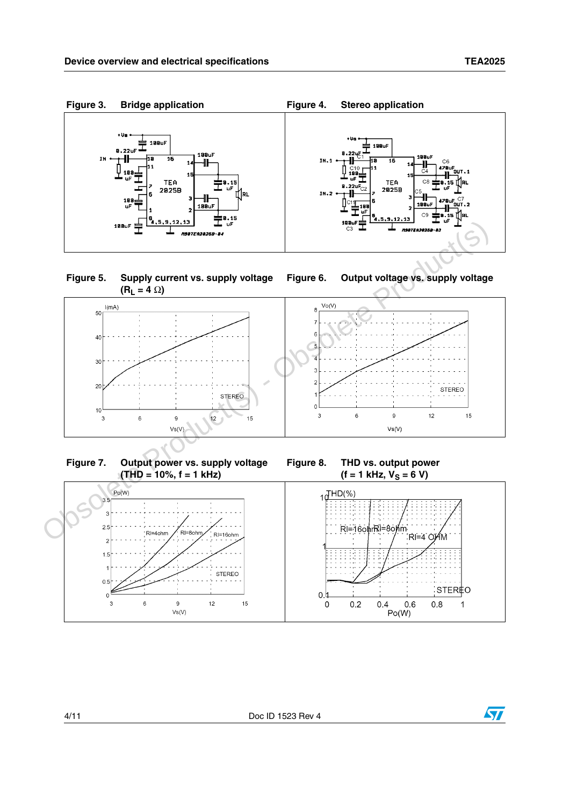

**Figure 5. Supply current vs. supply voltage**   $(R_1 = 4 \Omega)$ 

<span id="page-3-0"></span>



**Figure 7. Output power vs. supply voltage (THD = 10%, f = 1 kHz)**

**Figure 8. THD vs. output power**   $(f = 1$  kHz,  $V_S = 6$  V)



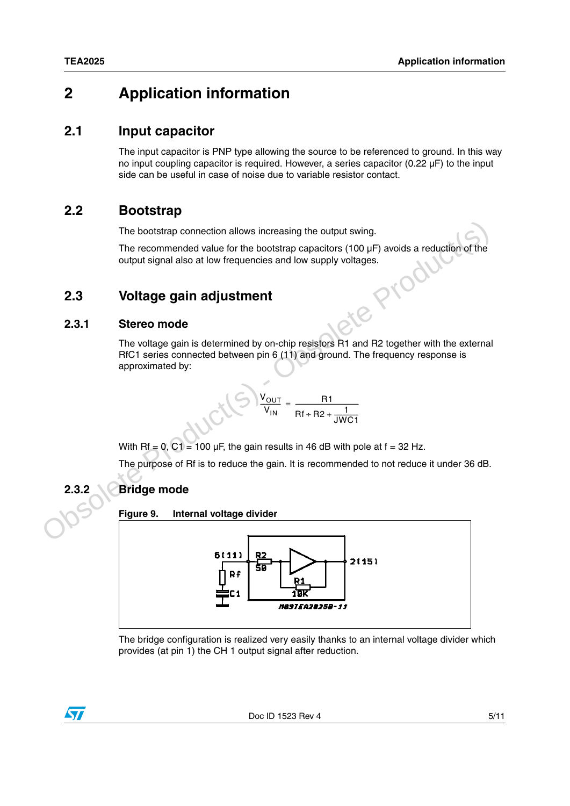## **2 Application information**

### **2.1 Input capacitor**

The input capacitor is PNP type allowing the source to be referenced to ground. In this way no input coupling capacitor is required. However, a series capacitor (0.22 µF) to the input side can be useful in case of noise due to variable resistor contact.

## **2.2 Bootstrap**

The bootstrap connection allows increasing the output swing.

The recommended value for the bootstrap capacitors (100 µF) avoids a reduction of the output signal also at low frequencies and low supply voltages.<br> **Voltage gain adjustment**<br>
Stereo mode output signal also at low frequencies and low supply voltages.

## **2.3 Voltage gain adjustment**

#### **2.3.1 Stereo mode**

The voltage gain is determined by on-chip resistors R1 and R2 together with the external RfC1 series connected between pin 6 (11) and ground. The frequency response is approximated by:

$$
V_{\text{OUT}} = \frac{R1}{Rf + R2 + \frac{1}{JWC1}}
$$

With Rf = 0, C1 = 100  $\mu$ F, the gain results in 46 dB with pole at f = 32 Hz.

The purpose of Rf is to reduce the gain. It is recommended to not reduce it under 36 dB.

### **2.3.2 Bridge mode**

**Figure 9. Internal voltage divider**



The bridge configuration is realized very easily thanks to an internal voltage divider which provides (at pin 1) the CH 1 output signal after reduction.

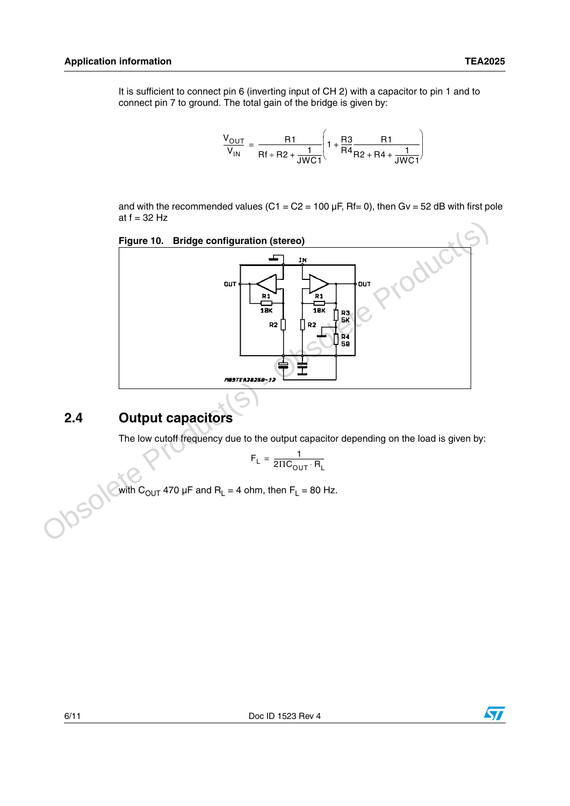It is sufficient to connect pin 6 (inverting input of CH 2) with a capacitor to pin 1 and to connect pin 7 to ground. The total gain of the bridge is given by:

$$
\frac{V_{OUT}}{V_{IN}} = \frac{R1}{Rf + R2 + \frac{1}{JWCI}} \left(1 + \frac{R3}{R4}\frac{R1}{R2 + R4 + \frac{1}{JWCI}}\right)
$$

and with the recommended values (C1 =  $C2 = 100 \mu F$ , Rf= 0), then Gv = 52 dB with first pole at  $f = 32$  Hz



## **2.4 Output capacitors**

The low cutoff frequency due to the output capacitor depending on the load is given by:

$$
F_L = \frac{1}{2 \Pi C_{OUT} \cdot R_L}
$$

with  $\rm C_{OUT}$  470  $\rm \mu F$  and  $\rm R_{L}$  = 4 ohm, then  $\rm F_{L}$  = 80 Hz.

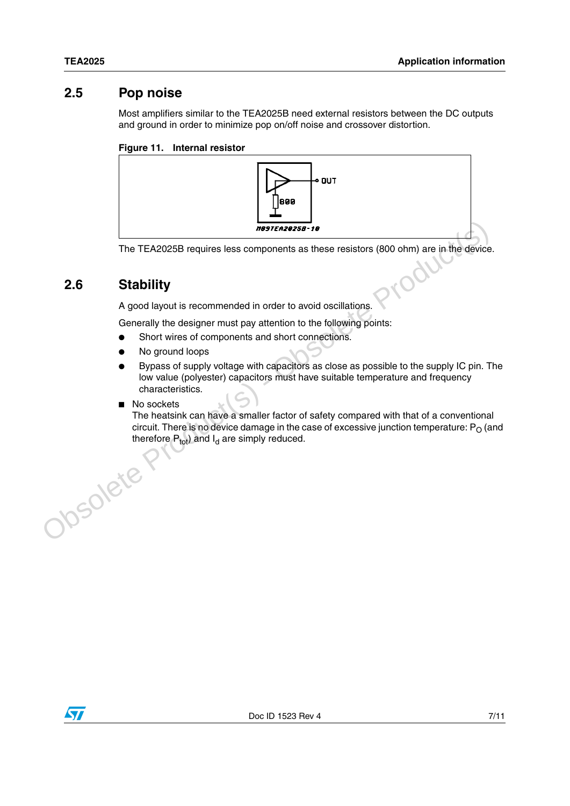### **2.5 Pop noise**

Most amplifiers similar to the TEA2025B need external resistors between the DC outputs and ground in order to minimize pop on/off noise and crossover distortion.

#### **Figure 11. Internal resistor**



The TEA2025B requires less components as these resistors (800 ohm) are in the device.

## **2.6 Stability**

A good layout is recommended in order to avoid oscillations.

Generally the designer must pay attention to the following points:

- Short wires of components and short connections.
- No ground loops
- Bypass of supply voltage with capacitors as close as possible to the supply IC pin. The low value (polyester) capacitors must have suitable temperature and frequency characteristics. **EXECUTE THE TEACO25B requires less components as these resistors (800 ohm) are in the device<br>
2.6 Stability**<br>
A good layout is recommended in order to avoid oscillations.<br>
Cenerally the designer must pay attention to the
	- No sockets

The heatsink can have a smaller factor of safety compared with that of a conventional circuit. There is no device damage in the case of excessive junction temperature:  $P<sub>O</sub>$  (and therefore  $P_{\text{tot}}$ ) and  $I_d$  are simply reduced.

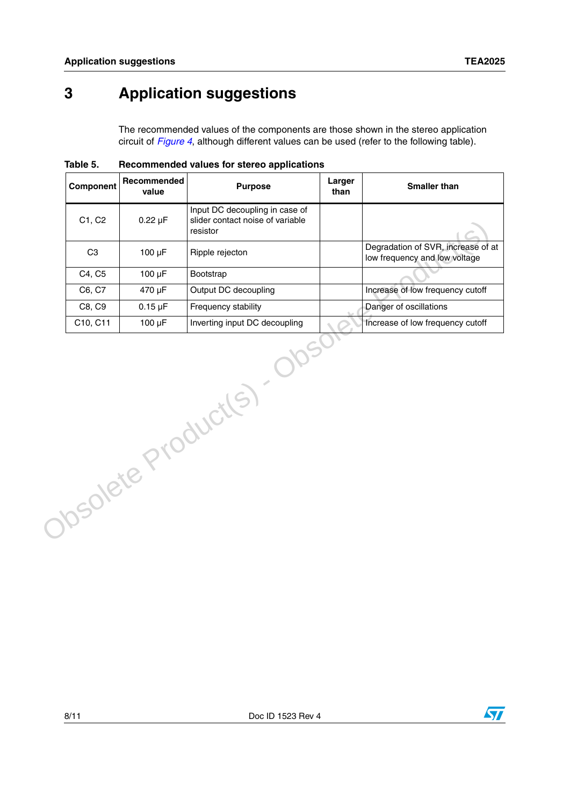## **3 Application suggestions**

The recommended values of the components are those shown in the stereo application circuit of *[Figure 4](#page-3-0)*, although different values can be used (refer to the following table).

| $0.22 \mu F$<br>100 µF<br>100 µF<br>470 µF<br>$0.15 \mu F$<br>$100 \mu F$ | Input DC decoupling in case of<br>slider contact noise of variable<br>resistor<br>Ripple rejecton<br>Bootstrap<br>Output DC decoupling<br>Frequency stability<br>Inverting input DC decoupling | Degradation of SVR, increase of at<br>low frequency and low voltage<br>Increase of low frequency cutoff |
|---------------------------------------------------------------------------|------------------------------------------------------------------------------------------------------------------------------------------------------------------------------------------------|---------------------------------------------------------------------------------------------------------|
|                                                                           |                                                                                                                                                                                                |                                                                                                         |
|                                                                           |                                                                                                                                                                                                |                                                                                                         |
|                                                                           |                                                                                                                                                                                                |                                                                                                         |
|                                                                           |                                                                                                                                                                                                |                                                                                                         |
|                                                                           |                                                                                                                                                                                                | Danger of oscillations                                                                                  |
|                                                                           |                                                                                                                                                                                                | Increase of low frequency cutoff                                                                        |
|                                                                           |                                                                                                                                                                                                |                                                                                                         |
|                                                                           |                                                                                                                                                                                                |                                                                                                         |
|                                                                           |                                                                                                                                                                                                | Obsolete Product(s).                                                                                    |

**Table 5. Recommended values for stereo applications**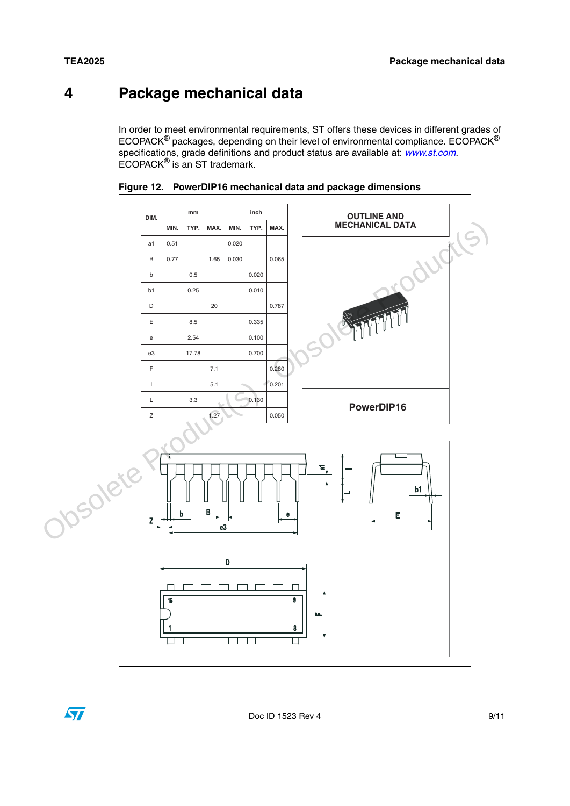## **4 Package mechanical data**

In order to meet environmental requirements, ST offers these devices in different grades of ECOPACK® packages, depending on their level of environmental compliance. ECOPACK® specifications, grade definitions and product status are available at: *[www.st.com](http://www.st.com)*. ECOPACK® is an ST trademark.



**Figure 12. PowerDIP16 mechanical data and package dimensions**

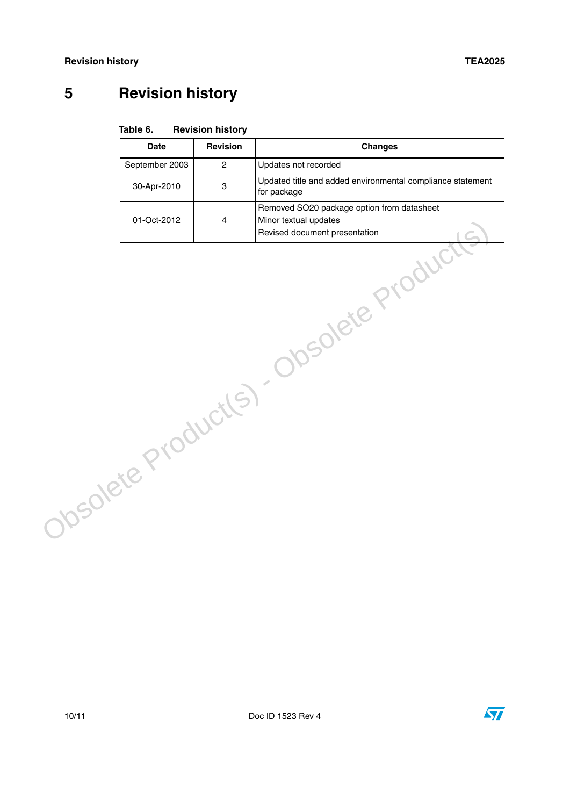## **5 Revision history**

#### **Table 6. Revision history**

|                    | <b>Date</b>    | <b>Revision</b> | <b>Changes</b>                                                                                       |
|--------------------|----------------|-----------------|------------------------------------------------------------------------------------------------------|
|                    | September 2003 | $\overline{2}$  | Updates not recorded                                                                                 |
|                    | 30-Apr-2010    | 3               | Updated title and added environmental compliance statement<br>for package                            |
|                    | 01-Oct-2012    | 4               | Removed SO20 package option from datasheet<br>Minor textual updates<br>Revised document presentation |
| Obsolete Products) |                |                 | Obsolete Product                                                                                     |